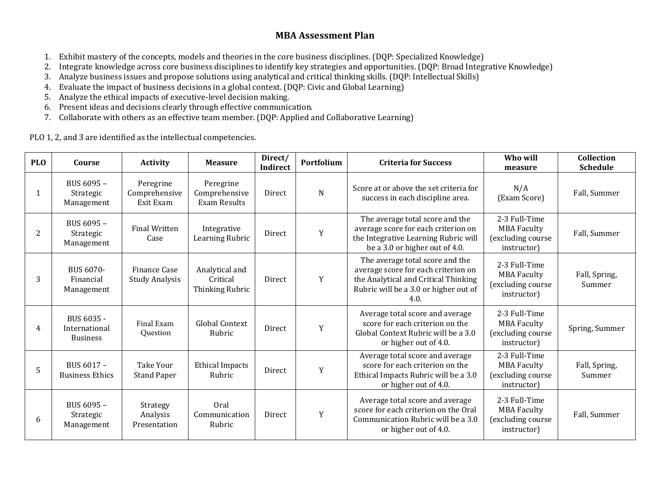# **MBA Assessment Plan**

- 1. Exhibit mastery of the concepts, models and theories in the core business disciplines. (DQP: Specialized Knowledge)
- 2. Integrate knowledge across core business disciplines to identify key strategies and opportunities. (DQP: Broad Integrative Knowledge)
- 3. Analyze business issues and propose solutions using analytical and critical thinking skills. (DQP: Intellectual Skills)
- 4. Evaluate the impact of business decisions in a global context. (DQP: Civic and Global Learning)
- 5. Analyze the ethical impacts of executive-level decision making.
- 6. Present ideas and decisions clearly through effective communication.
- 7. Collaborate with others as an effective team member. (DQP: Applied and Collaborative Learning)

PLO 1, 2, and 3 are identified as the intellectual competencies.

| <b>PLO</b> | Course                                         | <b>Activity</b>                         | <b>Measure</b>                                | Direct/<br>Indirect | Portfolium | <b>Criteria for Success</b>                                                                                                                                     | Who will<br>measure                                                     | Collection<br><b>Schedule</b> |
|------------|------------------------------------------------|-----------------------------------------|-----------------------------------------------|---------------------|------------|-----------------------------------------------------------------------------------------------------------------------------------------------------------------|-------------------------------------------------------------------------|-------------------------------|
| 1          | BUS 6095 -<br>Strategic<br>Management          | Peregrine<br>Comprehensive<br>Exit Exam | Peregrine<br>Comprehensive<br>Exam Results    | Direct              | N          | Score at or above the set criteria for<br>success in each discipline area.                                                                                      | N/A<br>(Exam Score)                                                     | Fall, Summer                  |
| 2          | BUS 6095 -<br>Strategic<br>Management          | <b>Final Written</b><br>Case            | Integrative<br>Learning Rubric                | Direct              | Y          | The average total score and the<br>average score for each criterion on<br>the Integrative Learning Rubric will<br>be a 3.0 or higher out of 4.0.                | 2-3 Full-Time<br><b>MBA Faculty</b><br>(excluding course<br>instructor) | Fall, Summer                  |
| 3          | BUS 6070-<br>Financial<br>Management           | Finance Case<br><b>Study Analysis</b>   | Analytical and<br>Critical<br>Thinking Rubric | Direct              | Y          | The average total score and the<br>average score for each criterion on<br>the Analytical and Critical Thinking<br>Rubric will be a 3.0 or higher out of<br>4.0. | 2-3 Full-Time<br><b>MBA Faculty</b><br>(excluding course<br>instructor) | Fall, Spring,<br>Summer       |
| 4          | BUS 6035 -<br>International<br><b>Business</b> | Final Exam<br>Question                  | <b>Global Context</b><br>Rubric               | Direct              | Y          | Average total score and average<br>score for each criterion on the<br>Global Context Rubric will be a 3.0<br>or higher out of 4.0.                              | 2-3 Full-Time<br><b>MBA Faculty</b><br>(excluding course<br>instructor) | Spring, Summer                |
| 5          | BUS 6017 -<br><b>Business Ethics</b>           | Take Your<br><b>Stand Paper</b>         | <b>Ethical Impacts</b><br>Rubric              | Direct              | Y          | Average total score and average<br>score for each criterion on the<br>Ethical Impacts Rubric will be a 3.0<br>or higher out of 4.0.                             | 2-3 Full-Time<br><b>MBA Faculty</b><br>(excluding course<br>instructor) | Fall, Spring,<br>Summer       |
| 6          | BUS 6095 -<br>Strategic<br>Management          | Strategy<br>Analysis<br>Presentation    | Oral<br>Communication<br>Rubric               | Direct              | Y          | Average total score and average<br>score for each criterion on the Oral<br>Communication Rubric will be a 3.0<br>or higher out of 4.0.                          | 2-3 Full-Time<br><b>MBA Faculty</b><br>(excluding course<br>instructor) | Fall, Summer                  |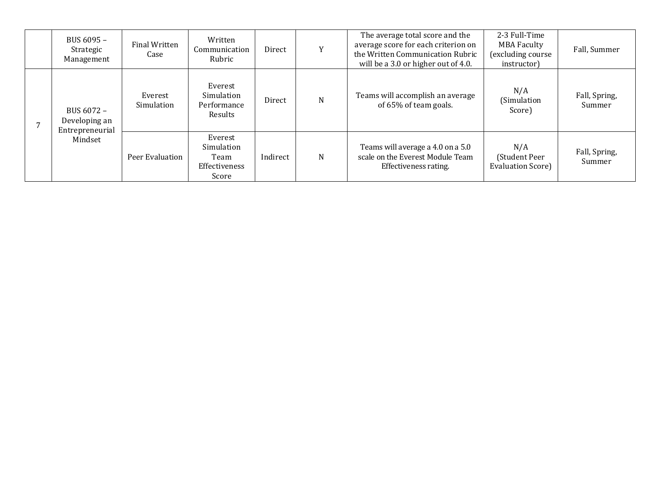| BUS 6095 -<br>Strategic<br>Management                     | Final Written<br>Case | Written<br>Communication<br>Rubric                      | Direct   | Y | The average total score and the<br>average score for each criterion on<br>the Written Communication Rubric<br>will be a 3.0 or higher out of 4.0. | 2-3 Full-Time<br><b>MBA Faculty</b><br>(excluding course<br>instructor) | Fall, Summer            |
|-----------------------------------------------------------|-----------------------|---------------------------------------------------------|----------|---|---------------------------------------------------------------------------------------------------------------------------------------------------|-------------------------------------------------------------------------|-------------------------|
| BUS 6072 -<br>Developing an<br>Entrepreneurial<br>Mindset | Everest<br>Simulation | Everest<br>Simulation<br>Performance<br>Results         | Direct   | N | Teams will accomplish an average<br>of 65% of team goals.                                                                                         | N/A<br>(Simulation<br>Score)                                            | Fall, Spring,<br>Summer |
|                                                           | Peer Evaluation       | Everest<br>Simulation<br>Team<br>Effectiveness<br>Score | Indirect | N | Teams will average a 4.0 on a 5.0<br>scale on the Everest Module Team<br>Effectiveness rating.                                                    | N/A<br>(Student Peer<br>Evaluation Score)                               | Fall, Spring,<br>Summer |